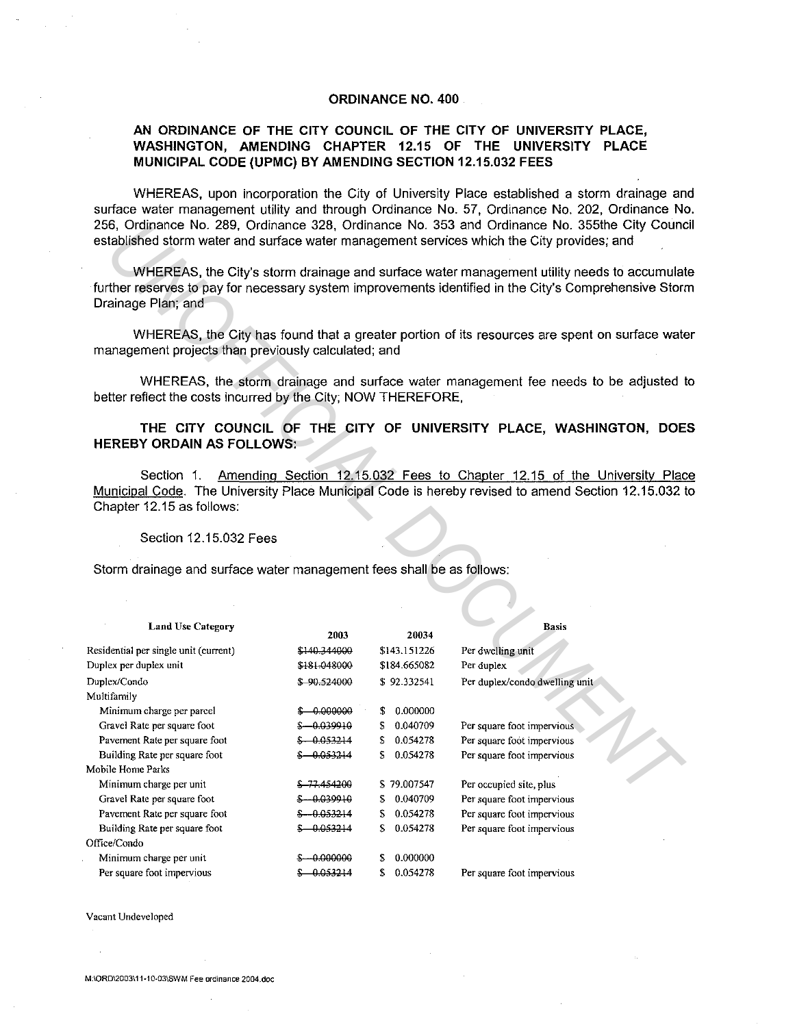## **ORDINANCE NO. 400**

## **AN ORDINANCE OF THE CITY COUNCIL OF THE CITY OF UNIVERSITY PLACE, WASHINGTON, AMENDING CHAPTER 12.15 OF THE UNIVERSITY PLACE MUNICIPAL CODE (UPMC) BY AMENDING SECTION 12.15.032 FEES**

WHEREAS, upon incorporation the City of University Place established a storm drainage and surface water management utility and through Ordinance No. 57, Ordinance No. 202, Ordinance No. 256, Ordinance No. 289, Ordinance 328, Ordinance No. 353 and Ordinance No. 355the City Council established storm water and surface water management services which the City provides; and

|                                                                       |               |                | 256, Ordinance No. 289, Ordinance 328, Ordinance No. 353 and Ordinance No. 355the City Cound<br>established storm water and surface water management services which the City provides; and           |  |
|-----------------------------------------------------------------------|---------------|----------------|------------------------------------------------------------------------------------------------------------------------------------------------------------------------------------------------------|--|
| Drainage Plan; and                                                    |               |                | WHEREAS, the City's storm drainage and surface water management utility needs to accumulat<br>further reserves to pay for necessary system improvements identified in the City's Comprehensive Stori |  |
| management projects than previously calculated; and                   |               |                | WHEREAS, the City has found that a greater portion of its resources are spent on surface wate                                                                                                        |  |
| better reflect the costs incurred by the City; NOW THEREFORE,         |               |                | WHEREAS, the storm drainage and surface water management fee needs to be adjusted to                                                                                                                 |  |
| <b>HEREBY ORDAIN AS FOLLOWS:</b>                                      |               |                | THE CITY COUNCIL OF THE CITY OF UNIVERSITY PLACE, WASHINGTON, DOE                                                                                                                                    |  |
| Section 1.<br>Chapter 12.15 as follows:                               |               |                | Amending Section 12.15.032 Fees to Chapter 12.15 of the University Plac<br>Municipal Code. The University Place Municipal Code is hereby revised to amend Section 12.15.032 t                        |  |
| Section 12.15.032 Fees                                                |               |                |                                                                                                                                                                                                      |  |
| Storm drainage and surface water management fees shall be as follows: |               |                |                                                                                                                                                                                                      |  |
|                                                                       |               |                |                                                                                                                                                                                                      |  |
| <b>Land Use Category</b>                                              | 2003          | 20034          | <b>Basis</b>                                                                                                                                                                                         |  |
| Residential per single unit (current)                                 | \$140.344000  | \$143.151226   | Per dwelling unit                                                                                                                                                                                    |  |
| Duplex per duplex unit                                                | \$181-048000  | \$184.665082   | Per duplex                                                                                                                                                                                           |  |
| Duplex/Condo                                                          | \$90524000    | \$92.332541    | Per duplex/condo dwelling unit                                                                                                                                                                       |  |
| Multifamily                                                           |               |                |                                                                                                                                                                                                      |  |
| Minimum charge per parcel                                             | $$ -0.000000$ | \$0.000000     |                                                                                                                                                                                                      |  |
| Gravel Rate per square foot                                           | $$-0.039910$  | \$ 0.040709    | Per square foot impervious                                                                                                                                                                           |  |
| Pavement Rate per square foot                                         | $$ -0.053214$ | \$ 0.054278    | Per square foot impervious                                                                                                                                                                           |  |
| Building Rate per square foot                                         | $$ -0.053214$ | \$<br>0.054278 | Per square foot impervious                                                                                                                                                                           |  |
| Mobile Home Parks                                                     |               |                |                                                                                                                                                                                                      |  |
| Minimum charge per unit                                               | \$77.454200   | \$79.007547    | Per occupied site, plus                                                                                                                                                                              |  |
| Gravel Rate per square foot                                           | $$ -0.039910$ | \$ 0.040709    | Per square foot impervious                                                                                                                                                                           |  |
| Pavement Rate per square foot                                         | $$ -0.053214$ | \$0.054278     | Per square foot impervious                                                                                                                                                                           |  |
| Building Rate per square foot                                         | $$ -0.053214$ | \$0.054278     | Per square foot impervious                                                                                                                                                                           |  |
| Office/Condo                                                          |               |                |                                                                                                                                                                                                      |  |
| Minimum charge per unit                                               | $$ -0.000000$ | \$ 0.000000    |                                                                                                                                                                                                      |  |
| Per square foot impervious                                            | $$ -0.053214$ | \$ 0.054278    | Per square foot impervious                                                                                                                                                                           |  |

**Vacant Undeveloped**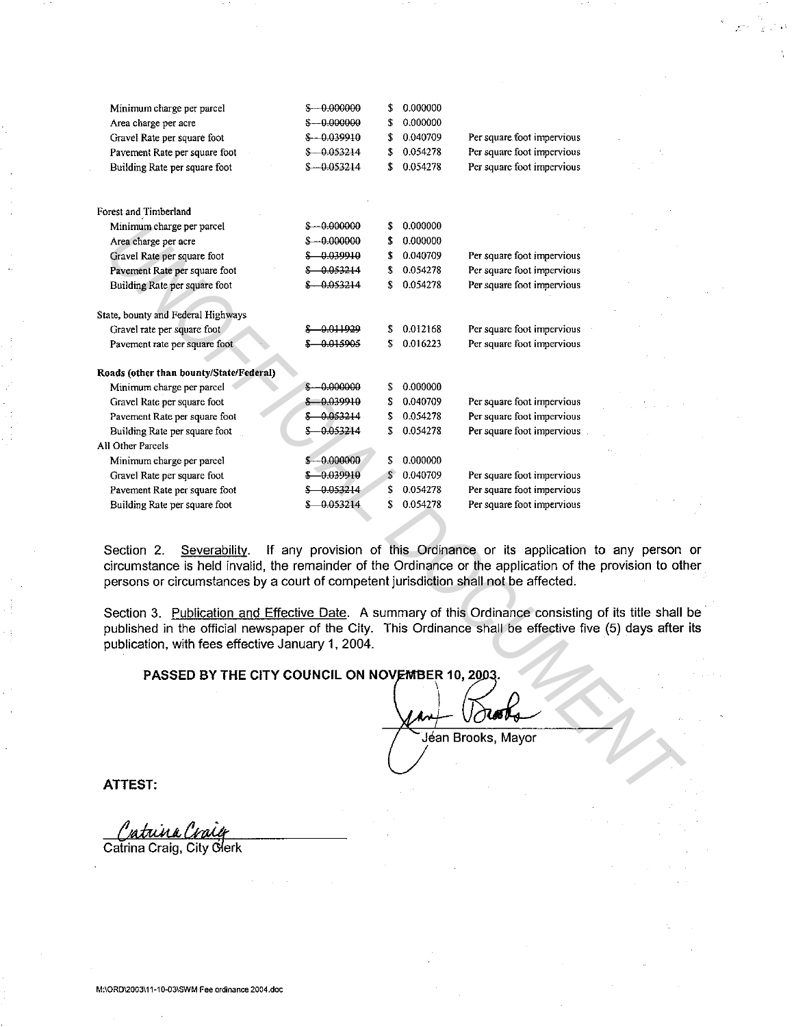| Minimum charge per parcel                                                                                                                                                                                                                                           | $$-.0,000000$          | \$ | 0.000000 |                                                                     |  |
|---------------------------------------------------------------------------------------------------------------------------------------------------------------------------------------------------------------------------------------------------------------------|------------------------|----|----------|---------------------------------------------------------------------|--|
| Area charge per acre                                                                                                                                                                                                                                                | $$-.0.00000$           | \$ | 0.000000 |                                                                     |  |
| Gravel Rate per square foot                                                                                                                                                                                                                                         | $$-0.039910$           | \$ | 0.040709 | Per square foot impervious                                          |  |
| Pavement Rate per square foot                                                                                                                                                                                                                                       | $$-0.053214$           | \$ | 0.054278 | Per square foot impervious                                          |  |
| Building Rate per square foot                                                                                                                                                                                                                                       | $$ -0.053214$          | \$ | 0.054278 | Per square foot impervious                                          |  |
| Forest and Timberland                                                                                                                                                                                                                                               |                        |    |          |                                                                     |  |
| Minimum charge per parcel                                                                                                                                                                                                                                           | $$-.000000$            | \$ | 0.000000 |                                                                     |  |
| Area charge per acre                                                                                                                                                                                                                                                | $$-.0.00000$           | \$ | 0.000000 |                                                                     |  |
| Gravel Rate per square foot                                                                                                                                                                                                                                         | $$ -0.039910$          | \$ | 0.040709 | Per square foot impervious                                          |  |
| Pavement Rate per square foot                                                                                                                                                                                                                                       | $$ -0.053214$          | \$ | 0.054278 | Per square foot impervious                                          |  |
| Building Rate per square foot                                                                                                                                                                                                                                       | $$-0.053214$           | £  | 0.054278 | Per square foot impervious                                          |  |
| State, bounty and Federal Highways                                                                                                                                                                                                                                  |                        |    |          |                                                                     |  |
| Gravel rate per square foot                                                                                                                                                                                                                                         | \$ <del>0.011929</del> | \$ | 0.012168 | Per square foot impervious                                          |  |
| Pavement rate per square foot                                                                                                                                                                                                                                       | $$ -0.015905$          | \$ | 0016223  | Per square foot impervious                                          |  |
|                                                                                                                                                                                                                                                                     |                        |    |          |                                                                     |  |
| Roads (other than bounty/State/Federal)                                                                                                                                                                                                                             |                        |    |          |                                                                     |  |
| Minimum charge per parcel                                                                                                                                                                                                                                           | $$-.0.00000$           | \$ | 0.000000 |                                                                     |  |
| Gravel Rate per square foot                                                                                                                                                                                                                                         | $$ -0.039910$          | \$ | 0.040709 | Per square foot impervious                                          |  |
| Pavement Rate per square foot                                                                                                                                                                                                                                       | \$0.053214             | \$ | 0054278  | Per square foot impervious                                          |  |
| Building Rate per square foot                                                                                                                                                                                                                                       | $$ -0.053214$          | \$ | 0.054278 | Per square foot impervious.                                         |  |
| All Other Parcels                                                                                                                                                                                                                                                   |                        |    |          |                                                                     |  |
| Minimum charge per parcel                                                                                                                                                                                                                                           | $$ -0.000000$          | \$ | 0.000000 |                                                                     |  |
| Gravel Rate per square foot                                                                                                                                                                                                                                         | $$ -0.039910$          |    | 0.040709 | Per square foot impervious                                          |  |
| Pavement Rate per square foot                                                                                                                                                                                                                                       | $$ -0.053214$          | \$ | 0.054278 | Per square foot impervious                                          |  |
| Building Rate per square foot                                                                                                                                                                                                                                       | \$ 0.053214            | \$ | 0.054278 | Per square foot impervious                                          |  |
|                                                                                                                                                                                                                                                                     |                        |    |          |                                                                     |  |
|                                                                                                                                                                                                                                                                     |                        |    |          |                                                                     |  |
| Section 2.<br>Severability.<br>circumstance is held invalid, the remainder of the Ordinance or the application of the provision to otl<br>persons or circumstances by a court of competent jurisdiction shall not be affected.                                      |                        |    |          | If any provision of this Ordinance or its application to any person |  |
| Section 3. Publication and Effective Date. A summary of this Ordinance consisting of its title shall<br>published in the official newspaper of the City. This Ordinance shall be effective five (5) days after<br>publication, with fees effective January 1, 2004. |                        |    |          |                                                                     |  |
| PASSED BY THE CITY COUNCIL ON NOVEMBER 10, 2003.                                                                                                                                                                                                                    |                        |    |          |                                                                     |  |
|                                                                                                                                                                                                                                                                     |                        |    |          |                                                                     |  |
|                                                                                                                                                                                                                                                                     |                        |    |          | Jean Brooks, Mayor                                                  |  |
|                                                                                                                                                                                                                                                                     |                        |    |          |                                                                     |  |
| <b>ATTEST:</b>                                                                                                                                                                                                                                                      |                        |    |          |                                                                     |  |
|                                                                                                                                                                                                                                                                     |                        |    |          |                                                                     |  |

## **PASSED BY THE CITY COUNCIL ON NOVEMBER 10, 2003.**

<u>"atrina</u>

Catrina Craig, City Clerk